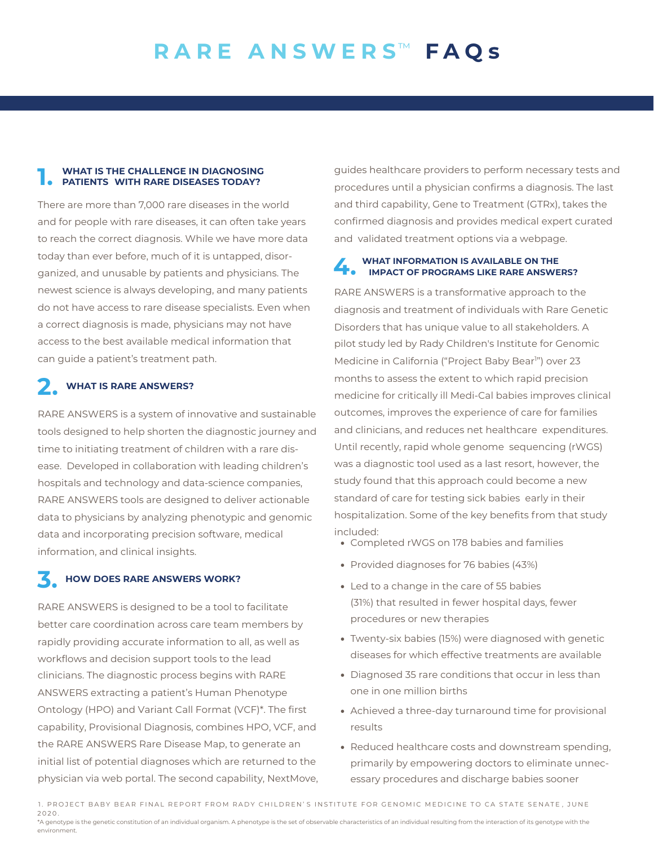#### **1. WHAT IS THE CHALLENGE IN DIAGNOSING PATIENTS WITH RARE DISEASES TODAY?**

There are more than 7,000 rare diseases in the world and for people with rare diseases, it can often take years to reach the correct diagnosis. While we have more data today than ever before, much of it is untapped, disorganized, and unusable by patients and physicians. The newest science is always developing, and many patients do not have access to rare disease specialists. Even when a correct diagnosis is made, physicians may not have access to the best available medical information that can guide a patient's treatment path.

### **2. WHAT IS RARE ANSWERS?**

RARE ANSWERS is a system of innovative and sustainable tools designed to help shorten the diagnostic journey and time to initiating treatment of children with a rare disease. Developed in collaboration with leading children's hospitals and technology and data-science companies, RARE ANSWERS tools are designed to deliver actionable data to physicians by analyzing phenotypic and genomic data and incorporating precision software, medical information, and clinical insights.

### **3. HOW DOES RARE ANSWERS WORK?**

RARE ANSWERS is designed to be a tool to facilitate better care coordination across care team members by rapidly providing accurate information to all, as well as workflows and decision support tools to the lead clinicians. The diagnostic process begins with RARE ANSWERS extracting a patient's Human Phenotype Ontology (HPO) and Variant Call Format (VCF)\*. The first capability, Provisional Diagnosis, combines HPO, VCF, and the RARE ANSWERS Rare Disease Map, to generate an initial list of potential diagnoses which are returned to the physician via web portal. The second capability, NextMove, guides healthcare providers to perform necessary tests and procedures until a physician confirms a diagnosis. The last and third capability, Gene to Treatment (GTRx), takes the confirmed diagnosis and provides medical expert curated and validated treatment options via a webpage.

# **4. WHAT INFORMATION IS AVAILABLE ON THE IMPACT OF PROGRAMS LIKE RARE ANSWERS?**

RARE ANSWERS is a transformative approach to the diagnosis and treatment of individuals with Rare Genetic Disorders that has unique value to all stakeholders. A pilot study led by Rady Children's Institute for Genomic Medicine in California ("Project Baby Bear<sup>1</sup>") over 23 months to assess the extent to which rapid precision medicine for critically ill Medi-Cal babies improves clinical outcomes, improves the experience of care for families and clinicians, and reduces net healthcare expenditures. Until recently, rapid whole genome sequencing (rWGS) was a diagnostic tool used as a last resort, however, the study found that this approach could become a new standard of care for testing sick babies early in their hospitalization. Some of the key benefits from that study included:

- Completed rWGS on 178 babies and families
- Provided diagnoses for 76 babies (43%)
- Led to a change in the care of 55 babies (31%) that resulted in fewer hospital days, fewer procedures or new therapies
- Twenty-six babies (15%) were diagnosed with genetic diseases for which effective treatments are available
- Diagnosed 35 rare conditions that occur in less than one in one million births
- Achieved a three-day turnaround time for provisional results
- Reduced healthcare costs and downstream spending, primarily by empowering doctors to eliminate unnecessary procedures and discharge babies sooner